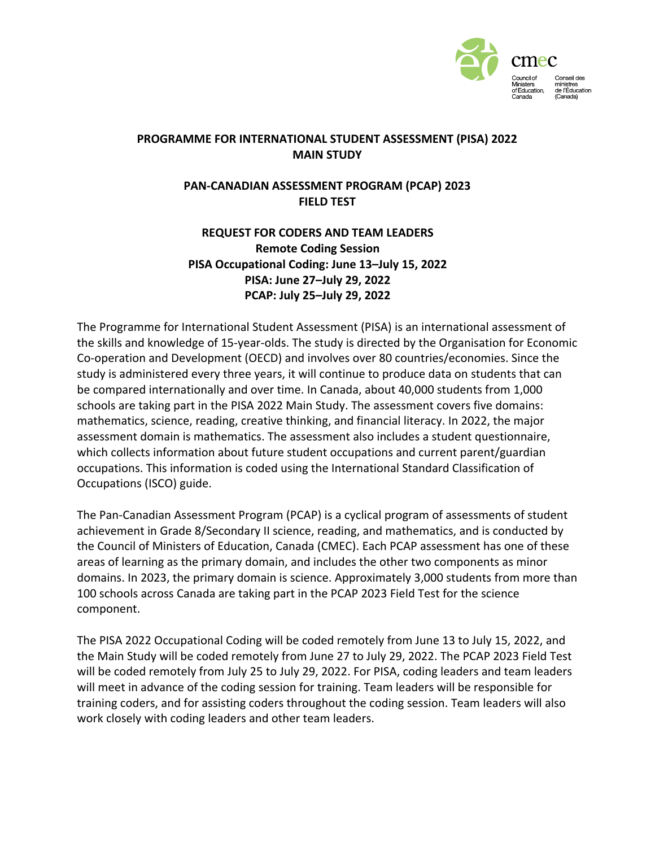

## **PROGRAMME FOR INTERNATIONAL STUDENT ASSESSMENT (PISA) 2022 MAIN STUDY**

## **PAN-CANADIAN ASSESSMENT PROGRAM (PCAP) 2023 FIELD TEST**

## **REQUEST FOR CODERS AND TEAM LEADERS Remote Coding Session PISA Occupational Coding: June 13–July 15, 2022 PISA: June 27–July 29, 2022 PCAP: July 25–July 29, 2022**

The Programme for International Student Assessment (PISA) is an international assessment of the skills and knowledge of 15-year-olds. The study is directed by the Organisation for Economic Co-operation and Development (OECD) and involves over 80 countries/economies. Since the study is administered every three years, it will continue to produce data on students that can be compared internationally and over time. In Canada, about 40,000 students from 1,000 schools are taking part in the PISA 2022 Main Study. The assessment covers five domains: mathematics, science, reading, creative thinking, and financial literacy. In 2022, the major assessment domain is mathematics. The assessment also includes a student questionnaire, which collects information about future student occupations and current parent/guardian occupations. This information is coded using the International Standard Classification of Occupations (ISCO) guide.

The Pan-Canadian Assessment Program (PCAP) is a cyclical program of assessments of student achievement in Grade 8/Secondary II science, reading, and mathematics, and is conducted by the Council of Ministers of Education, Canada (CMEC). Each PCAP assessment has one of these areas of learning as the primary domain, and includes the other two components as minor domains. In 2023, the primary domain is science. Approximately 3,000 students from more than 100 schools across Canada are taking part in the PCAP 2023 Field Test for the science component.

The PISA 2022 Occupational Coding will be coded remotely from June 13 to July 15, 2022, and the Main Study will be coded remotely from June 27 to July 29, 2022. The PCAP 2023 Field Test will be coded remotely from July 25 to July 29, 2022. For PISA, coding leaders and team leaders will meet in advance of the coding session for training. Team leaders will be responsible for training coders, and for assisting coders throughout the coding session. Team leaders will also work closely with coding leaders and other team leaders.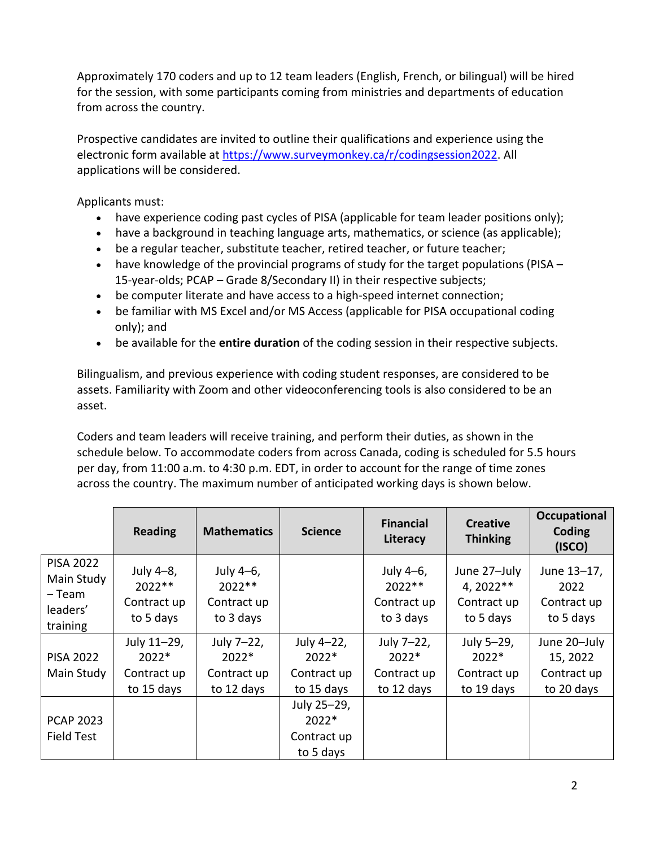Approximately 170 coders and up to 12 team leaders (English, French, or bilingual) will be hired for the session, with some participants coming from ministries and departments of education from across the country.

Prospective candidates are invited to outline their qualifications and experience using the electronic form available at [https://www.surveymonkey.ca/r/codingsession2022.](https://www.surveymonkey.ca/r/codingsession2022) All applications will be considered.

Applicants must:

- have experience coding past cycles of PISA (applicable for team leader positions only);
- have a background in teaching language arts, mathematics, or science (as applicable);
- be a regular teacher, substitute teacher, retired teacher, or future teacher;
- have knowledge of the provincial programs of study for the target populations (PISA 15-year-olds; PCAP – Grade 8/Secondary II) in their respective subjects;
- be computer literate and have access to a high-speed internet connection;
- be familiar with MS Excel and/or MS Access (applicable for PISA occupational coding only); and
- be available for the **entire duration** of the coding session in their respective subjects.

Bilingualism, and previous experience with coding student responses, are considered to be assets. Familiarity with Zoom and other videoconferencing tools is also considered to be an asset.

Coders and team leaders will receive training, and perform their duties, as shown in the schedule below. To accommodate coders from across Canada, coding is scheduled for 5.5 hours per day, from 11:00 a.m. to 4:30 p.m. EDT, in order to account for the range of time zones across the country. The maximum number of anticipated working days is shown below.

|                                                                  | <b>Reading</b>                                      | <b>Mathematics</b>                                 | <b>Science</b>                                     | <b>Financial</b><br>Literacy                       | <b>Creative</b><br><b>Thinking</b>                     | <b>Occupational</b><br>Coding<br>(ISCO)               |
|------------------------------------------------------------------|-----------------------------------------------------|----------------------------------------------------|----------------------------------------------------|----------------------------------------------------|--------------------------------------------------------|-------------------------------------------------------|
| <b>PISA 2022</b><br>Main Study<br>– Team<br>leaders'<br>training | July 4-8,<br>$2022**$<br>Contract up<br>to 5 days   | July 4-6,<br>$2022**$<br>Contract up<br>to 3 days  |                                                    | July 4-6,<br>$2022**$<br>Contract up<br>to 3 days  | June 27-July<br>$4,2022**$<br>Contract up<br>to 5 days | June 13-17,<br>2022<br>Contract up<br>to 5 days       |
| <b>PISA 2022</b><br>Main Study                                   | July 11-29,<br>$2022*$<br>Contract up<br>to 15 days | July 7-22,<br>$2022*$<br>Contract up<br>to 12 days | July 4-22,<br>$2022*$<br>Contract up<br>to 15 days | July 7-22,<br>$2022*$<br>Contract up<br>to 12 days | July 5-29,<br>$2022*$<br>Contract up<br>to 19 days     | June 20-July<br>15, 2022<br>Contract up<br>to 20 days |
| <b>PCAP 2023</b><br>Field Test                                   |                                                     |                                                    | July 25-29,<br>$2022*$<br>Contract up<br>to 5 days |                                                    |                                                        |                                                       |